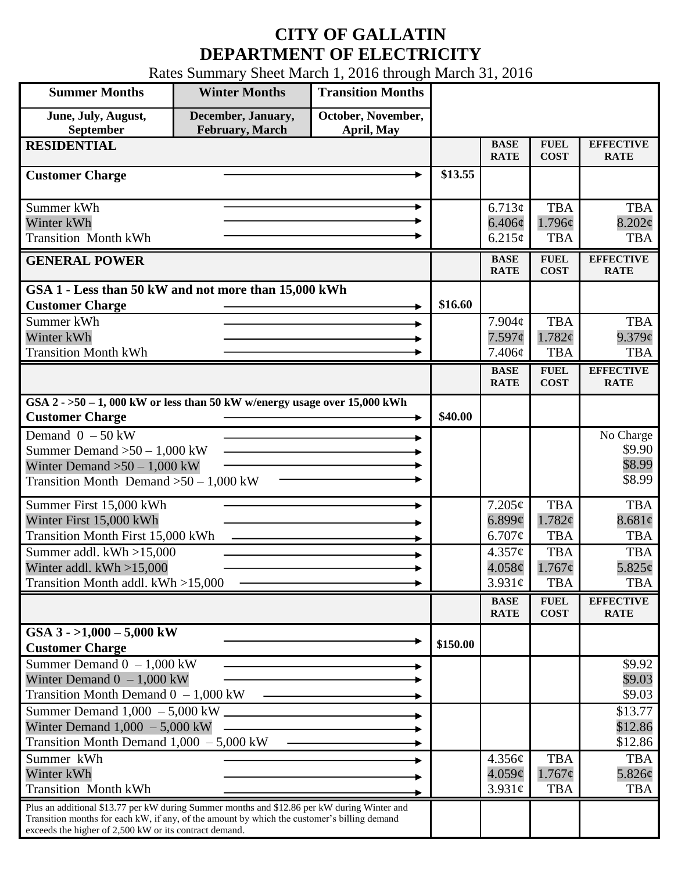## **CITY OF GALLATIN DEPARTMENT OF ELECTRICITY**

Rates Summary Sheet March 1, 2016 through March 31, 2016

| <b>Summer Months</b>                                                                                                                                                                                                                                 | <b>Winter Months</b>                         | <b>Transition Months</b>         |          |                                 |                                         |                                         |
|------------------------------------------------------------------------------------------------------------------------------------------------------------------------------------------------------------------------------------------------------|----------------------------------------------|----------------------------------|----------|---------------------------------|-----------------------------------------|-----------------------------------------|
| June, July, August,<br>September                                                                                                                                                                                                                     | December, January,<br><b>February, March</b> | October, November,<br>April, May |          |                                 |                                         |                                         |
| <b>RESIDENTIAL</b>                                                                                                                                                                                                                                   |                                              |                                  |          | <b>BASE</b><br><b>RATE</b>      | <b>FUEL</b><br><b>COST</b>              | <b>EFFECTIVE</b><br><b>RATE</b>         |
| <b>Customer Charge</b>                                                                                                                                                                                                                               |                                              |                                  | \$13.55  |                                 |                                         |                                         |
| Summer kWh<br>Winter kWh<br><b>Transition Month kWh</b>                                                                                                                                                                                              |                                              | ►                                |          | 6.713¢<br>$6.406\phi$<br>6.215¢ | <b>TBA</b><br>1.796¢<br><b>TBA</b>      | <b>TBA</b><br>$8.202\phi$<br><b>TBA</b> |
| <b>GENERAL POWER</b>                                                                                                                                                                                                                                 |                                              |                                  |          | <b>BASE</b><br><b>RATE</b>      | <b>FUEL</b><br><b>COST</b>              | <b>EFFECTIVE</b><br><b>RATE</b>         |
| GSA 1 - Less than 50 kW and not more than 15,000 kWh<br><b>Customer Charge</b><br>Summer kWh<br>Winter kWh                                                                                                                                           |                                              |                                  | \$16.60  | 7.904¢<br>7.597¢                | <b>TBA</b><br>1.782¢                    | <b>TBA</b><br>$9.379$ ¢                 |
| <b>Transition Month kWh</b>                                                                                                                                                                                                                          |                                              |                                  |          | 7.406¢                          | <b>TBA</b>                              | <b>TBA</b>                              |
|                                                                                                                                                                                                                                                      |                                              |                                  |          | <b>BASE</b><br><b>RATE</b>      | <b>FUEL</b><br><b>COST</b>              | <b>EFFECTIVE</b><br><b>RATE</b>         |
| GSA $2 - 50 - 1$ , 000 kW or less than 50 kW w/energy usage over 15,000 kWh<br><b>Customer Charge</b>                                                                                                                                                |                                              |                                  | \$40.00  |                                 |                                         |                                         |
| Demand $0 - 50$ kW<br>Summer Demand $>50 - 1,000$ kW<br>Winter Demand $>50-1,000$ kW<br>Transition Month Demand $>50-1,000$ kW                                                                                                                       |                                              |                                  |          |                                 |                                         | No Charge<br>\$9.90<br>\$8.99<br>\$8.99 |
| Summer First 15,000 kWh<br>Winter First 15,000 kWh<br><b>Transition Month First 15,000 kWh</b>                                                                                                                                                       |                                              |                                  |          | 7.205¢<br>6.899¢<br>6.707¢      | <b>TBA</b><br>1.782¢<br><b>TBA</b>      | <b>TBA</b><br>8.681¢<br><b>TBA</b>      |
| Summer addl. kWh >15,000<br>Winter addl. $kWh > 15,000$<br>Transition Month addl. kWh >15,000                                                                                                                                                        |                                              |                                  |          | 4.357¢<br>4.058¢<br>$3.931\ell$ | <b>TBA</b><br>$1.767\phi$<br><b>TBA</b> | <b>TBA</b><br>$5.825\phi$<br><b>TBA</b> |
|                                                                                                                                                                                                                                                      |                                              |                                  |          | <b>BASE</b><br><b>RATE</b>      | <b>FUEL</b><br><b>COST</b>              | <b>EFFECTIVE</b><br><b>RATE</b>         |
| GSA $3 - 1,000 - 5,000$ kW<br><b>Customer Charge</b>                                                                                                                                                                                                 |                                              |                                  | \$150.00 |                                 |                                         |                                         |
| Summer Demand $0 - 1,000$ kW<br>Winter Demand $0 - 1,000$ kW<br>Transition Month Demand $0 - 1,000$ kW                                                                                                                                               |                                              |                                  |          |                                 |                                         | \$9.92<br>\$9.03<br>\$9.03              |
| Summer Demand 1,000 - 5,000 kW<br>Winter Demand $1,000 - 5,000$ kW<br>Transition Month Demand $1,000 - 5,000$ kW                                                                                                                                     |                                              |                                  |          |                                 |                                         | \$13.77<br>\$12.86<br>\$12.86           |
| Summer kWh<br>Winter kWh<br><b>Transition Month kWh</b>                                                                                                                                                                                              |                                              |                                  |          | 4.356¢<br>4.059¢<br>3.931c      | <b>TBA</b><br>$1.767\phi$<br><b>TBA</b> | <b>TBA</b><br>5.826¢<br><b>TBA</b>      |
| Plus an additional \$13.77 per kW during Summer months and \$12.86 per kW during Winter and<br>Transition months for each kW, if any, of the amount by which the customer's billing demand<br>exceeds the higher of 2,500 kW or its contract demand. |                                              |                                  |          |                                 |                                         |                                         |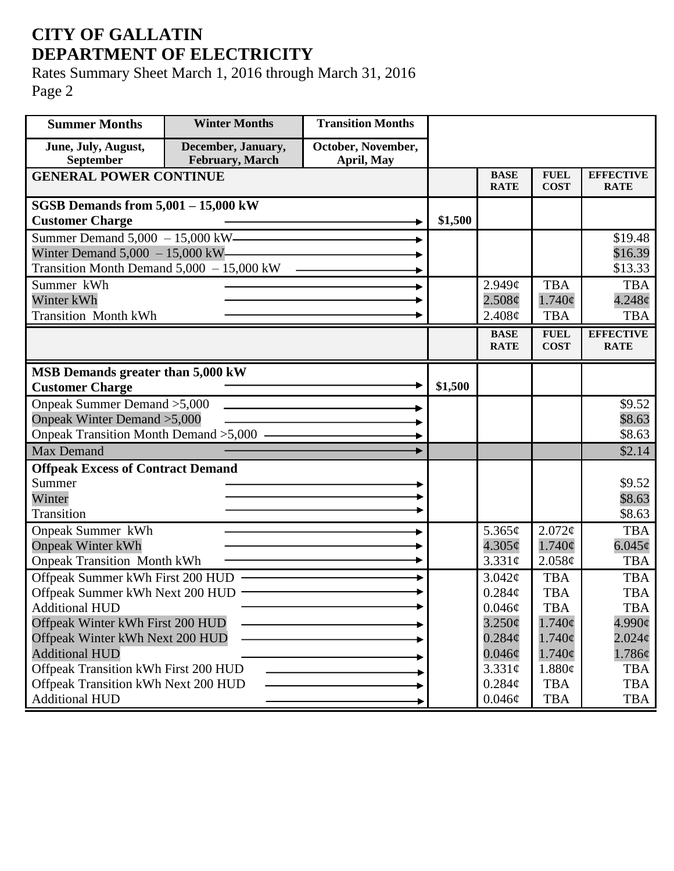## **CITY OF GALLATIN DEPARTMENT OF ELECTRICITY**

Rates Summary Sheet March 1, 2016 through March 31, 2016 Page 2

| <b>Summer Months</b>                                                | <b>Winter Months</b>                  | <b>Transition Months</b>         |         |                            |                            |                                 |
|---------------------------------------------------------------------|---------------------------------------|----------------------------------|---------|----------------------------|----------------------------|---------------------------------|
| June, July, August,<br>September                                    | December, January,<br>February, March | October, November,<br>April, May |         |                            |                            |                                 |
| <b>GENERAL POWER CONTINUE</b>                                       |                                       |                                  |         | <b>BASE</b><br><b>RATE</b> | <b>FUEL</b><br><b>COST</b> | <b>EFFECTIVE</b><br><b>RATE</b> |
| SGSB Demands from $5,001 - 15,000$ kW                               |                                       |                                  |         |                            |                            |                                 |
| <b>Customer Charge</b>                                              |                                       |                                  | \$1,500 |                            |                            |                                 |
| Summer Demand 5,000 - 15,000 kW —                                   |                                       |                                  |         |                            |                            | \$19.48                         |
| Winter Demand $5,000 - 15,000$ kW-                                  |                                       |                                  |         |                            |                            | \$16.39                         |
| Transition Month Demand 5,000 - 15,000 kW                           |                                       |                                  |         |                            |                            | \$13.33                         |
| Summer kWh                                                          |                                       |                                  |         | $2.949\mathcal{C}$         | <b>TBA</b>                 | <b>TBA</b>                      |
| Winter kWh                                                          |                                       |                                  |         | 2.508¢                     | $1.740\phi$                | $4.248\phi$                     |
| <b>Transition Month kWh</b>                                         |                                       |                                  |         | 2.408¢                     | <b>TBA</b>                 | <b>TBA</b>                      |
|                                                                     |                                       |                                  |         | <b>BASE</b><br><b>RATE</b> | <b>FUEL</b><br><b>COST</b> | <b>EFFECTIVE</b><br><b>RATE</b> |
|                                                                     |                                       |                                  |         |                            |                            |                                 |
| MSB Demands greater than 5,000 kW                                   |                                       |                                  |         |                            |                            |                                 |
| <b>Customer Charge</b>                                              |                                       |                                  | \$1,500 |                            |                            |                                 |
| Onpeak Summer Demand > 5,000                                        |                                       |                                  |         |                            |                            | \$9.52                          |
| Onpeak Winter Demand > 5,000                                        |                                       |                                  |         |                            |                            | \$8.63                          |
| Onpeak Transition Month Demand >5,000 -                             |                                       |                                  |         |                            |                            | \$8.63                          |
| <b>Max Demand</b>                                                   |                                       |                                  |         |                            |                            | \$2.14                          |
| <b>Offpeak Excess of Contract Demand</b>                            |                                       |                                  |         |                            |                            |                                 |
| Summer                                                              |                                       |                                  |         |                            |                            | \$9.52                          |
| Winter                                                              |                                       |                                  |         |                            |                            | \$8.63                          |
| Transition                                                          |                                       |                                  |         |                            |                            | \$8.63                          |
| Onpeak Summer kWh                                                   |                                       |                                  |         | 5.365 $\phi$               | $2.072\phi$                | <b>TBA</b>                      |
| <b>Onpeak Winter kWh</b>                                            |                                       |                                  |         | $4.305\phi$                | $1.740\phi$                | $6.045\phi$                     |
| <b>Onpeak Transition Month kWh</b>                                  |                                       |                                  |         | $3.331\phi$                | 2.058¢                     | <b>TBA</b>                      |
| Offpeak Summer kWh First 200 HUD -                                  |                                       |                                  |         | 3.042¢                     | <b>TBA</b>                 | <b>TBA</b>                      |
| Offpeak Summer kWh Next 200 HUD -                                   |                                       |                                  |         | 0.284¢                     | <b>TBA</b>                 | <b>TBA</b>                      |
| <b>Additional HUD</b>                                               |                                       |                                  |         | $0.046\phi$<br>$3.250\phi$ | TBA<br>$1.740\text{c}$     | <b>TBA</b><br>$4.990\text{¢}$   |
| Offpeak Winter kWh First 200 HUD<br>Offpeak Winter kWh Next 200 HUD |                                       |                                  |         | $0.284\phi$                | $1.740\phi$                | $2.024\phi$                     |
| <b>Additional HUD</b>                                               |                                       |                                  |         | $0.046\phi$                | $1.740\phi$                | 1.786¢                          |
| Offpeak Transition kWh First 200 HUD                                |                                       |                                  |         | 3.331¢                     | 1.880¢                     | <b>TBA</b>                      |
| Offpeak Transition kWh Next 200 HUD                                 |                                       |                                  |         | $0.284\mathcal{C}$         | <b>TBA</b>                 | <b>TBA</b>                      |
| <b>Additional HUD</b>                                               |                                       |                                  |         | $0.046\phi$                | <b>TBA</b>                 | TBA                             |